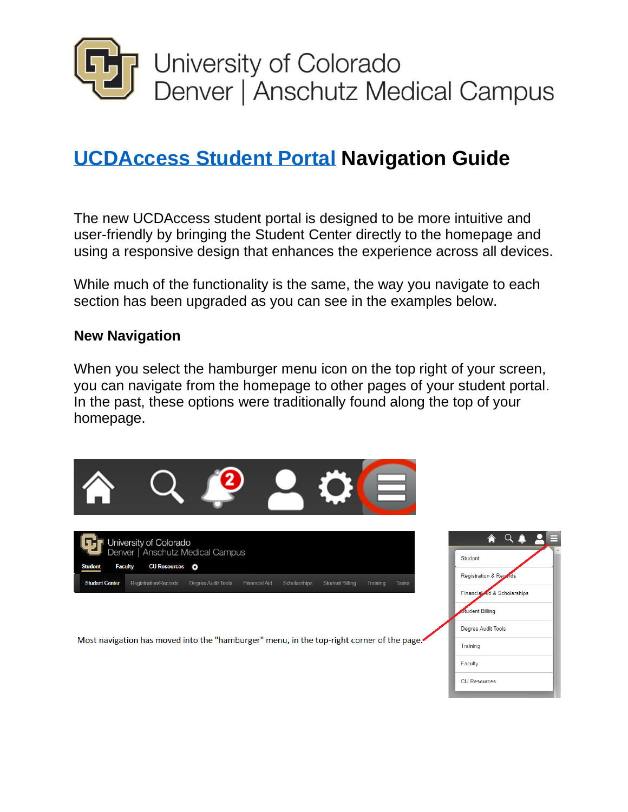

# **[UCDAccess Student Portal](https://www.ucdenver.edu/ucdaccess) Navigation Guide**

The new UCDAccess student portal is designed to be more intuitive and user-friendly by bringing the Student Center directly to the homepage and using a responsive design that enhances the experience across all devices.

While much of the functionality is the same, the way you navigate to each section has been upgraded as you can see in the examples below.

#### **New Navigation**

When you select the hamburger menu icon on the top right of your screen, you can navigate from the homepage to other pages of your student portal. In the past, these options were traditionally found along the top of your homepage.



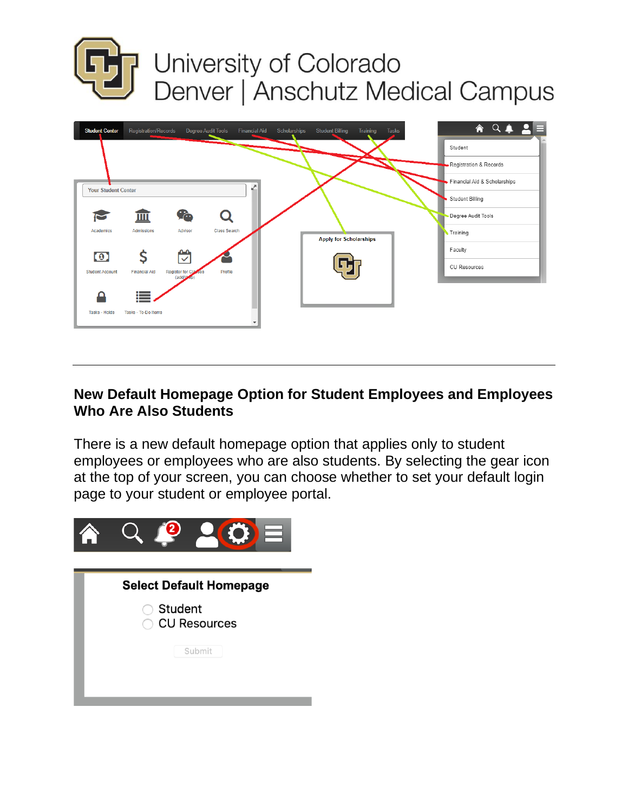



### **New Default Homepage Option for Student Employees and Employees Who Are Also Students**

There is a new default homepage option that applies only to student employees or employees who are also students. By selecting the gear icon at the top of your screen, you can choose whether to set your default login page to your student or employee portal.



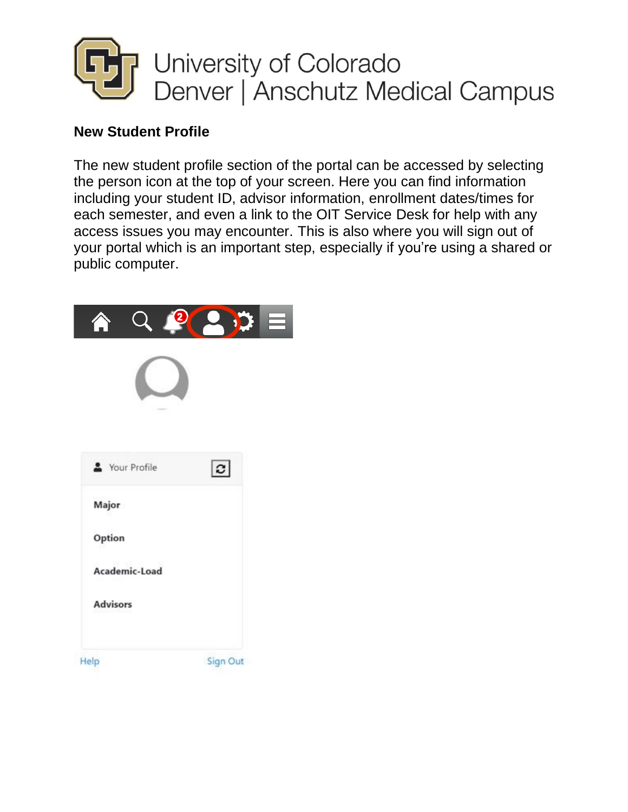

### **New Student Profile**

The new student profile section of the portal can be accessed by selecting the person icon at the top of your screen. Here you can find information including your student ID, advisor information, enrollment dates/times for each semester, and even a link to the OIT Service Desk for help with any access issues you may encounter. This is also where you will sign out of your portal which is an important step, especially if you're using a shared or public computer.

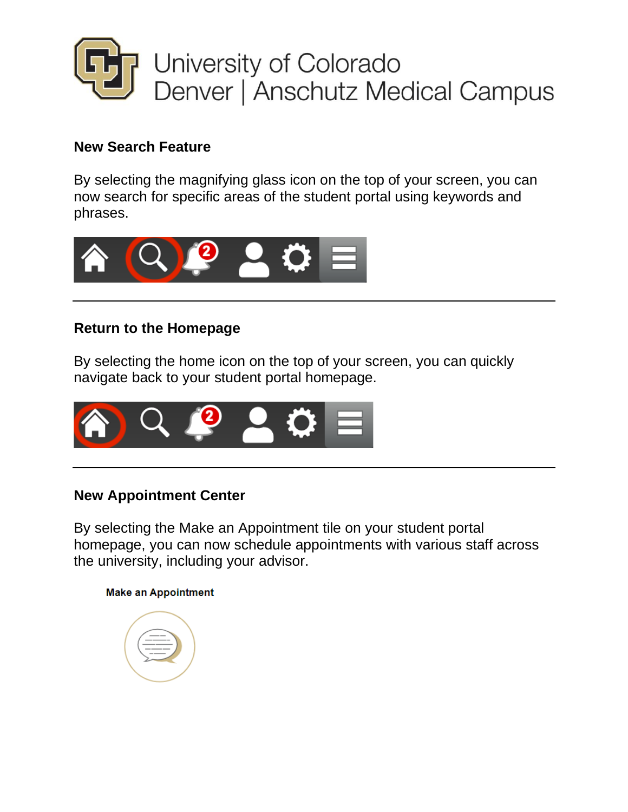

### **New Search Feature**

By selecting the magnifying glass icon on the top of your screen, you can now search for specific areas of the student portal using keywords and phrases.



### **Return to the Homepage**

By selecting the home icon on the top of your screen, you can quickly navigate back to your student portal homepage.



### **New Appointment Center**

By selecting the Make an Appointment tile on your student portal homepage, you can now schedule appointments with various staff across the university, including your advisor.

#### **Make an Appointment**

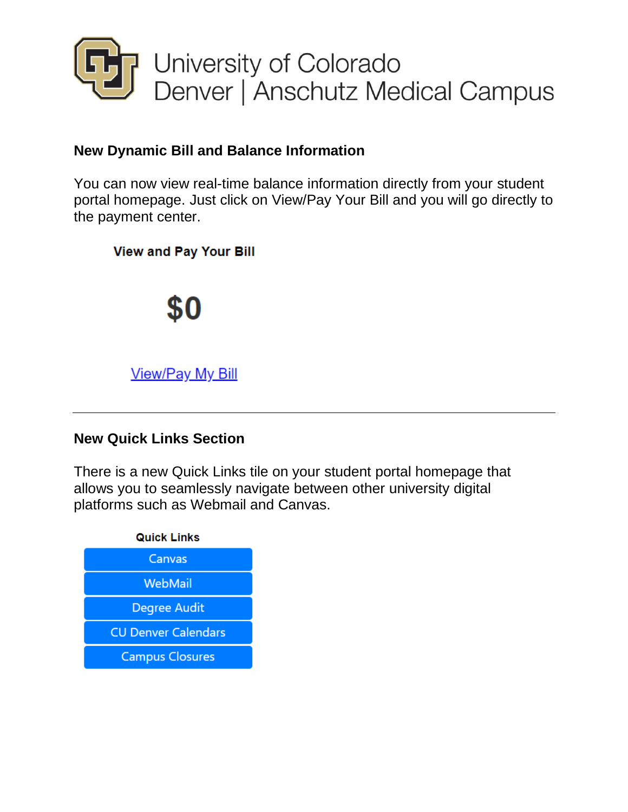

### **New Dynamic Bill and Balance Information**

You can now view real-time balance information directly from your student portal homepage. Just click on View/Pay Your Bill and you will go directly to the payment center.

**View and Pay Your Bill** 



### **New Quick Links Section**

There is a new Quick Links tile on your student portal homepage that allows you to seamlessly navigate between other university digital platforms such as Webmail and Canvas.